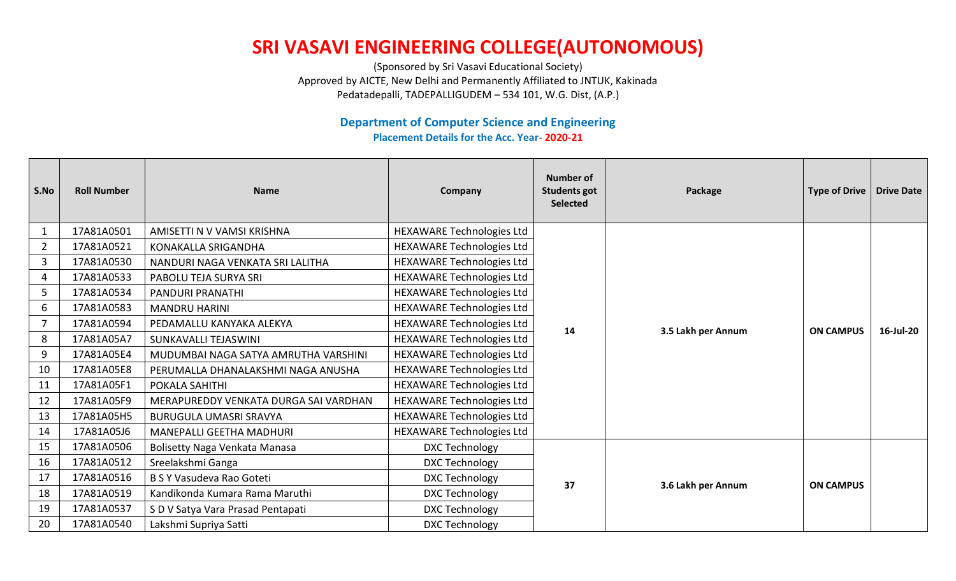## **SRI VASAVI ENGINEERING COLLEGE(AUTONOMOUS)**

(Sponsored by Sri Vasavi Educational Society) Approved by AICTE, New Delhi and Permanently Affiliated to JNTUK, Kakinada Pedatadepalli, TADEPALLIGUDEM – 534 101, W.G. Dist, (A.P.)

## **Department of Computer Science and Engineering Placement Details for the Acc. Year**- **2020-21**

| S.No           | <b>Roll Number</b> | <b>Name</b>                           | Company                          | <b>Number of</b><br><b>Students got</b><br><b>Selected</b> | Package            | <b>Type of Drive</b> | <b>Drive Date</b> |
|----------------|--------------------|---------------------------------------|----------------------------------|------------------------------------------------------------|--------------------|----------------------|-------------------|
| $\mathbf{1}$   | 17A81A0501         | AMISETTI N V VAMSI KRISHNA            | HEXAWARE Technologies Ltd        | 14                                                         | 3.5 Lakh per Annum | <b>ON CAMPUS</b>     | 16-Jul-20         |
| $\overline{2}$ | 17A81A0521         | KONAKALLA SRIGANDHA                   | <b>HEXAWARE Technologies Ltd</b> |                                                            |                    |                      |                   |
| $\overline{3}$ | 17A81A0530         | NANDURI NAGA VENKATA SRI LALITHA      | HEXAWARE Technologies Ltd        |                                                            |                    |                      |                   |
| 4              | 17A81A0533         | PABOLU TEJA SURYA SRI                 | <b>HEXAWARE Technologies Ltd</b> |                                                            |                    |                      |                   |
| 5              | 17A81A0534         | <b>PANDURI PRANATHI</b>               | HEXAWARE Technologies Ltd        |                                                            |                    |                      |                   |
| 6              | 17A81A0583         | <b>MANDRU HARINI</b>                  | <b>HEXAWARE Technologies Ltd</b> |                                                            |                    |                      |                   |
| $\overline{7}$ | 17A81A0594         | PEDAMALLU KANYAKA ALEKYA              | HEXAWARE Technologies Ltd        |                                                            |                    |                      |                   |
| 8              | 17A81A05A7         | SUNKAVALLI TEJASWINI                  | HEXAWARE Technologies Ltd        |                                                            |                    |                      |                   |
| 9              | 17A81A05E4         | MUDUMBAI NAGA SATYA AMRUTHA VARSHINI  | HEXAWARE Technologies Ltd        |                                                            |                    |                      |                   |
| 10             | 17A81A05E8         | PERUMALLA DHANALAKSHMI NAGA ANUSHA    | <b>HEXAWARE Technologies Ltd</b> |                                                            |                    |                      |                   |
| 11             | 17A81A05F1         | POKALA SAHITHI                        | <b>HEXAWARE Technologies Ltd</b> |                                                            |                    |                      |                   |
| 12             | 17A81A05F9         | MERAPUREDDY VENKATA DURGA SAI VARDHAN | HEXAWARE Technologies Ltd        |                                                            |                    |                      |                   |
| 13             | 17A81A05H5         | <b>BURUGULA UMASRI SRAVYA</b>         | HEXAWARE Technologies Ltd        |                                                            |                    |                      |                   |
| 14             | 17A81A05J6         | <b>MANEPALLI GEETHA MADHURI</b>       | <b>HEXAWARE Technologies Ltd</b> |                                                            |                    |                      |                   |
| 15             | 17A81A0506         | Bolisetty Naga Venkata Manasa         | DXC Technology                   |                                                            | 3.6 Lakh per Annum | <b>ON CAMPUS</b>     |                   |
| 16             | 17A81A0512         | Sreelakshmi Ganga                     | DXC Technology                   | 37                                                         |                    |                      |                   |
| 17             | 17A81A0516         | B S Y Vasudeva Rao Goteti             | DXC Technology                   |                                                            |                    |                      |                   |
| 18             | 17A81A0519         | Kandikonda Kumara Rama Maruthi        | DXC Technology                   |                                                            |                    |                      |                   |
| 19             | 17A81A0537         | S D V Satya Vara Prasad Pentapati     | DXC Technology                   |                                                            |                    |                      |                   |
| 20             | 17A81A0540         | Lakshmi Supriya Satti                 | <b>DXC Technology</b>            |                                                            |                    |                      |                   |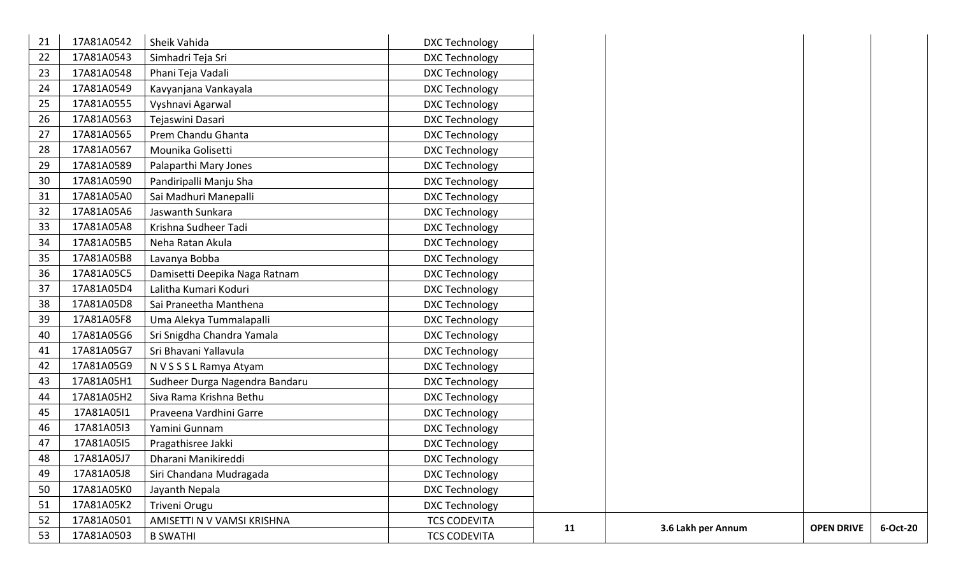| 21 | 17A81A0542 | Sheik Vahida                   | <b>DXC Technology</b> |    |                    |                   |
|----|------------|--------------------------------|-----------------------|----|--------------------|-------------------|
| 22 | 17A81A0543 | Simhadri Teja Sri              | DXC Technology        |    |                    |                   |
| 23 | 17A81A0548 | Phani Teja Vadali              | <b>DXC Technology</b> |    |                    |                   |
| 24 | 17A81A0549 | Kavyanjana Vankayala           | <b>DXC Technology</b> |    |                    |                   |
| 25 | 17A81A0555 | Vyshnavi Agarwal               | DXC Technology        |    |                    |                   |
| 26 | 17A81A0563 | Tejaswini Dasari               | <b>DXC Technology</b> |    |                    |                   |
| 27 | 17A81A0565 | Prem Chandu Ghanta             | DXC Technology        |    |                    |                   |
| 28 | 17A81A0567 | Mounika Golisetti              | DXC Technology        |    |                    |                   |
| 29 | 17A81A0589 | Palaparthi Mary Jones          | <b>DXC Technology</b> |    |                    |                   |
| 30 | 17A81A0590 | Pandiripalli Manju Sha         | <b>DXC Technology</b> |    |                    |                   |
| 31 | 17A81A05A0 | Sai Madhuri Manepalli          | DXC Technology        |    |                    |                   |
| 32 | 17A81A05A6 | Jaswanth Sunkara               | DXC Technology        |    |                    |                   |
| 33 | 17A81A05A8 | Krishna Sudheer Tadi           | <b>DXC Technology</b> |    |                    |                   |
| 34 | 17A81A05B5 | Neha Ratan Akula               | DXC Technology        |    |                    |                   |
| 35 | 17A81A05B8 | Lavanya Bobba                  | DXC Technology        |    |                    |                   |
| 36 | 17A81A05C5 | Damisetti Deepika Naga Ratnam  | <b>DXC Technology</b> |    |                    |                   |
| 37 | 17A81A05D4 | Lalitha Kumari Koduri          | <b>DXC Technology</b> |    |                    |                   |
| 38 | 17A81A05D8 | Sai Praneetha Manthena         | DXC Technology        |    |                    |                   |
| 39 | 17A81A05F8 | Uma Alekya Tummalapalli        | DXC Technology        |    |                    |                   |
| 40 | 17A81A05G6 | Sri Snigdha Chandra Yamala     | <b>DXC Technology</b> |    |                    |                   |
| 41 | 17A81A05G7 | Sri Bhavani Yallavula          | DXC Technology        |    |                    |                   |
| 42 | 17A81A05G9 | N V S S S L Ramya Atyam        | DXC Technology        |    |                    |                   |
| 43 | 17A81A05H1 | Sudheer Durga Nagendra Bandaru | <b>DXC Technology</b> |    |                    |                   |
| 44 | 17A81A05H2 | Siva Rama Krishna Bethu        | <b>DXC Technology</b> |    |                    |                   |
| 45 | 17A81A05I1 | Praveena Vardhini Garre        | <b>DXC Technology</b> |    |                    |                   |
| 46 | 17A81A05I3 | Yamini Gunnam                  | DXC Technology        |    |                    |                   |
| 47 | 17A81A05I5 | Pragathisree Jakki             | <b>DXC Technology</b> |    |                    |                   |
| 48 | 17A81A05J7 | Dharani Manikireddi            | <b>DXC Technology</b> |    |                    |                   |
| 49 | 17A81A05J8 | Siri Chandana Mudragada        | DXC Technology        |    |                    |                   |
| 50 | 17A81A05K0 | Jayanth Nepala                 | <b>DXC Technology</b> |    |                    |                   |
| 51 | 17A81A05K2 | Triveni Orugu                  | DXC Technology        |    |                    |                   |
| 52 | 17A81A0501 | AMISETTI N V VAMSI KRISHNA     | <b>TCS CODEVITA</b>   |    | 3.6 Lakh per Annum | <b>OPEN DRIVE</b> |
| 53 | 17A81A0503 | <b>B SWATHI</b>                | <b>TCS CODEVITA</b>   | 11 |                    |                   |